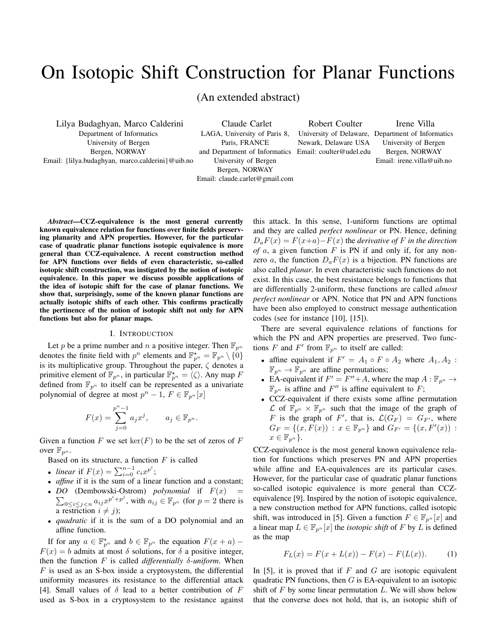# On Isotopic Shift Construction for Planar Functions

(An extended abstract)

Lilya Budaghyan, Marco Calderini Department of Informatics University of Bergen Bergen, NORWAY Email: {lilya.budaghyan, marco.calderini}@uib.no

Claude Carlet LAGA, University of Paris 8, Paris, FRANCE and Department of Informatics University of Bergen Bergen, NORWAY Email: claude.carlet@gmail.com

Robert Coulter Newark, Delaware USA Email: coulter@udel.edu

University of Delaware, Department of Informatics Irene Villa University of Bergen Bergen, NORWAY Email: irene.villa@uib.no

*Abstract*—CCZ-equivalence is the most general currently known equivalence relation for functions over finite fields preserving planarity and APN properties. However, for the particular case of quadratic planar functions isotopic equivalence is more general than CCZ-equivalence. A recent construction method for APN functions over fields of even characteristic, so-called isotopic shift construction, was instigated by the notion of isotopic equivalence. In this paper we discuss possible applications of the idea of isotopic shift for the case of planar functions. We show that, surprisingly, some of the known planar functions are actually isotopic shifts of each other. This confirms practically the pertinence of the notion of isotopic shift not only for APN functions but also for planar maps.

#### I. INTRODUCTION

Let p be a prime number and n a positive integer. Then  $\mathbb{F}_{p^n}$ denotes the finite field with  $p^n$  elements and  $\mathbb{F}_{p^n}^* = \mathbb{F}_{p^n} \setminus \{0\}$ is its multiplicative group. Throughout the paper,  $\zeta$  denotes a primitive element of  $\mathbb{F}_{p^n}$ , in particular  $\mathbb{F}_{p^n}^{\star} = \langle \zeta \rangle$ . Any map F defined from  $\mathbb{F}_{p^n}$  to itself can be represented as a univariate polynomial of degree at most  $p^{n} - 1$ ,  $F \in \mathbb{F}_{p^{n}}[x]$ 

$$
F(x)=\sum_{j=0}^{p^n-1}a_jx^j,\qquad a_j\in\mathbb{F}_{p^n}.
$$

Given a function F we set  $\ker(F)$  to be the set of zeros of F over  $\mathbb{F}_{p^n}$ .

Based on its structure, a function  $F$  is called

- *linear* if  $F(x) = \sum_{i=0}^{n-1} c_i x^{p^i}$ ;
- *affine* if it is the sum of a linear function and a constant;
- *DO* (Dembowski-Ostrom) *polynomial* if  $F(x) =$  $\sum_{0 \leq i \leq j \leq n} a_{ij} x^{p^i+p^j}$ , with  $a_{ij} \in \mathbb{F}_{p^n}$  (for  $p = 2$  there is a restriction  $i \neq j$ ;
- *quadratic* if it is the sum of a DO polynomial and an affine function.

If for any  $a \in \mathbb{F}_{p^n}^*$  and  $b \in \mathbb{F}_{p^n}$  the equation  $F(x+a)$  –  $F(x) = b$  admits at most  $\delta$  solutions, for  $\delta$  a positive integer, then the function F is called *differentially* δ*-uniform*. When  $F$  is used as an S-box inside a cryptosystem, the differential uniformity measures its resistance to the differential attack [4]. Small values of  $\delta$  lead to a better contribution of F used as S-box in a cryptosystem to the resistance against this attack. In this sense, 1-uniform functions are optimal and they are called *perfect nonlinear* or PN. Hence, defining  $D_aF(x) = F(x+a) - F(x)$  the *derivative of* F *in the direction of*  $a$ , a given function  $F$  is PN if and only if, for any nonzero a, the function  $D_aF(x)$  is a bijection. PN functions are also called *planar*. In even characteristic such functions do not exist. In this case, the best resistance belongs to functions that are differentially 2-uniform, these functions are called *almost perfect nonlinear* or APN. Notice that PN and APN functions have been also employed to construct message authentication codes (see for instance [10], [15]).

There are several equivalence relations of functions for which the PN and APN properties are preserved. Two functions F and F' from  $\mathbb{F}_{p^n}$  to itself are called:

- affine equivalent if  $F' = A_1 \circ F \circ A_2$  where  $A_1, A_2$ :  $\mathbb{F}_{p^n} \to \mathbb{F}_{p^n}$  are affine permutations;
- EA-equivalent if  $F' = F'' + A$ , where the map  $A : \mathbb{F}_{p^n} \to$  $\mathbb{F}_{p^n}$  is affine and  $F''$  is affine equivalent to F;
- CCZ-equivalent if there exists some affine permutation  $\mathcal L$  of  $\mathbb{F}_{p^n} \times \mathbb{F}_{p^n}$  such that the image of the graph of F is the graph of F', that is,  $\mathcal{L}(G_F) = G_{F'}$ , where  $G_F = \{(x, F(x)) : x \in \mathbb{F}_{p^n}\}\$ and  $G_{F'} = \{(x, F'(x)) : x \in \mathbb{F}_{p^n}\}\$  $x \in \mathbb{F}_{p^n}$ .

CCZ-equivalence is the most general known equivalence relation for functions which preserves PN and APN properties while affine and EA-equivalences are its particular cases. However, for the particular case of quadratic planar functions so-called isotopic equivalence is more general than CCZequivalence [9]. Inspired by the notion of isotopic equivalence, a new construction method for APN functions, called isotopic shift, was introduced in [5]. Given a function  $F \in \mathbb{F}_{p^n}[x]$  and a linear map  $L \in \mathbb{F}_{p^n}[x]$  the *isotopic shift* of F by L is defined as the map

$$
F_L(x) = F(x + L(x)) - F(x) - F(L(x)).
$$
 (1)

In [5], it is proved that if  $F$  and  $G$  are isotopic equivalent quadratic PN functions, then  $G$  is EA-equivalent to an isotopic shift of  $F$  by some linear permutation  $L$ . We will show below that the converse does not hold, that is, an isotopic shift of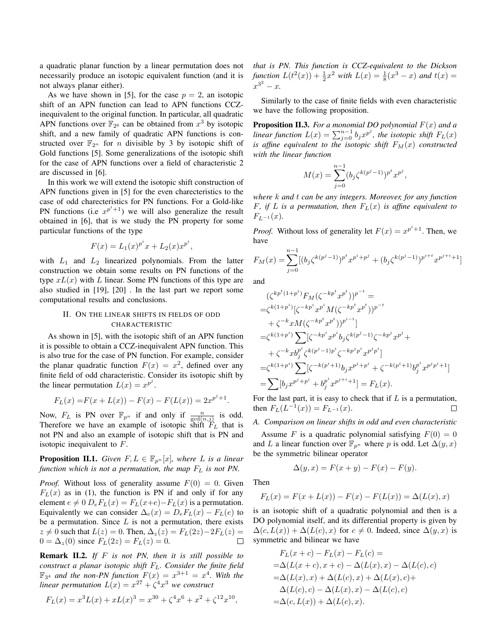a quadratic planar function by a linear permutation does not necessarily produce an isotopic equivalent function (and it is not always planar either).

As we have shown in [5], for the case  $p = 2$ , an isotopic shift of an APN function can lead to APN functions CCZinequivalent to the original function. In particular, all quadratic APN functions over  $\mathbb{F}_{2^6}$  can be obtained from  $x^3$  by isotopic shift, and a new family of quadratic APN functions is constructed over  $\mathbb{F}_{2^n}$  for *n* divisible by 3 by isotopic shift of Gold functions [5]. Some generalizations of the isotopic shift for the case of APN functions over a field of characteristic 2 are discussed in [6].

In this work we will extend the isotopic shift construction of APN functions given in [5] for the even charecteristics to the case of odd charecteristics for PN functions. For a Gold-like PN functions (i.e  $x^{p^i+1}$ ) we will also generalize the result obtained in [6], that is we study the PN property for some particular functions of the type

$$
F(x) = L_1(x)^{p^i} x + L_2(x) x^{p^i},
$$

with  $L_1$  and  $L_2$  linearized polynomials. From the latter construction we obtain some results on PN functions of the type  $xL(x)$  with L linear. Some PN functions of this type are also studied in [19], [20] . In the last part we report some computational results and conclusions.

## II. ON THE LINEAR SHIFTS IN FIELDS OF ODD CHARACTERISTIC

As shown in [5], with the isotopic shift of an APN function it is possible to obtain a CCZ-inequivalent APN function. This is also true for the case of PN function. For example, consider the planar quadratic function  $F(x) = x^2$ , defined over any finite field of odd characteristic. Consider its isotopic shift by the linear permutation  $L(x) = x^{p^j}$ .

$$
F_L(x) = F(x + L(x)) - F(x) - F(L(x)) = 2x^{p^j + 1}.
$$

Now,  $F_L$  is PN over  $\mathbb{F}_{p^n}$  if and only if  $\frac{n}{\gcd(n,j)}$  is odd. Therefore we have an example of isotopic shift  $F_L$  that is not PN and also an example of isotopic shift that is PN and isotopic inequivalent to F.

**Proposition II.1.** *Given*  $F, L \in \mathbb{F}_{p^n}[x]$ *, where L is a linear function which is not a permutation, the map*  $F<sub>L</sub>$  *is not PN.* 

*Proof.* Without loss of generality assume  $F(0) = 0$ . Given  $F<sub>L</sub>(x)$  as in (1), the function is PN if and only if for any element  $e \neq 0$   $D_eF_L(x) = F_L(x+e) - F_L(x)$  is a permutation. Equivalently we can consider  $\Delta_e(x) = D_e F_L(x) - F_L(e)$  to be a permutation. Since  $L$  is not a permutation, there exists  $z \neq 0$  such that  $L(z) = 0$ . Then,  $\Delta_z(z) = F_L(2z) - 2F_L(z) =$  $0 = \Delta_z(0)$  since  $F_L(2z) = F_L(z) = 0$ .  $\Box$ 

Remark II.2. *If* F *is not PN, then it is still possible to construct a planar isotopic shift* FL*. Consider the finite field*  $\mathbb{F}_{3^4}$  and the non-PN function  $F(x) = x^{3+1} = x^4$ . With the *linear permutation*  $L(x) = x^{27} + \zeta^4 x^3$  we construct

$$
F_L(x) = x^3 L(x) + xL(x)^3 = x^{30} + \zeta^4 x^6 + x^2 + \zeta^{12} x^{10},
$$

*that is PN. This function is CCZ-equivalent to the Dickson function*  $L(t^2(x)) + \frac{1}{2}x^2$  *with*  $L(x) = \frac{1}{8}(x^3 - x)$  *and*  $t(x) =$  $x^{3^2} - x.$ 

Similarly to the case of finite fields with even characteristic we have the following proposition.

Proposition II.3. *For a monomial DO polynomial* F(x) *and a linear function*  $L(x) = \sum_{j=0}^{n-1} b_j x^{p^j}$ , the isotopic shift  $F_L(x)$ *is affine equivalent to the isotopic shift*  $F_M(x)$  *constructed with the linear function*

$$
M(x) = \sum_{j=0}^{n-1} (b_j \zeta^{k(p^j - 1)})^{p^t} x^{p^j},
$$

*where* k *and* t *can be any integers. Moreover, for any function* F, if L is a permutation, then  $F<sub>L</sub>(x)$  is affine equivalent to  $F_{L^{-1}}(x)$ .

*Proof.* Without loss of generality let  $F(x) = x^{p^i + 1}$ . Then, we have

$$
F_M(x) = \sum_{j=0}^{n-1} [(b_j \zeta^{k(p^j-1)})^{p^t} x^{p^i+p^j} + (b_j \zeta^{k(p^j-1)})^{p^{i+t}} x^{p^{j+i}+1}]
$$

and

$$
\begin{split}\n&\left(\zeta^{kp^t(1+p^i)}F_M(\zeta^{-kp^t}x^{p^t})\right)^{p^{-t}} = \\
&= &\zeta^{k(1+p^i)}[\zeta^{-kp^i}x^{p^i}M(\zeta^{-kp^t}x^{p^t}))^{p^{-t}} \\
&+ \zeta^{-k}xM(\zeta^{-kp^t}x^{p^t}))^{p^{i-t}}] \\
&= &\zeta^{k(1+p^i)}\sum [\zeta^{-kp^i}x^{p^i}b_j\zeta^{k(p^j-1)}\zeta^{-kp^j}x^{p^j} + \\
&+ \zeta^{-k}xb_j^{p^i}\zeta^{k(p^j-1)p^i}\zeta^{-kp^jp^i}x^{p^j p^i}] \\
&= &\zeta^{k(1+p^i)}\sum [\zeta^{-k(p^i+1)}b_jx^{p^j+p^i} + \zeta^{-k(p^i+1)}b_j^{p^i}x^{p^jp^i+1}] \\
&= &\sum [b_jx^{p^j+p^i} + b_j^{p^i}x^{p^{j+i}+1}] = F_L(x).\n\end{split}
$$

For the last part, it is easy to check that if  $L$  is a permutation, then  $F_L(L^{-1}(x)) = F_{L^{-1}}(x)$ . □

## *A. Comparison on linear shifts in odd and even characteristic*

Assume F is a quadratic polynomial satisfying  $F(0) = 0$ and L a linear function over  $\mathbb{F}_{p^n}$  where p is odd. Let  $\Delta(y, x)$ be the symmetric bilinear operator

$$
\Delta(y, x) = F(x + y) - F(x) - F(y).
$$

Then

$$
F_L(x) = F(x + L(x)) - F(x) - F(L(x)) = \Delta(L(x), x)
$$

is an isotopic shift of a quadratic polynomial and then is a DO polynomial itself, and its differential property is given by  $\Delta(c, L(x)) + \Delta(L(c), x)$  for  $c \neq 0$ . Indeed, since  $\Delta(y, x)$  is symmetric and bilinear we have

$$
F_L(x+c) - F_L(x) - F_L(c) =
$$
  
=\Delta(L(x+c), x + c) - \Delta(L(x), x) - \Delta(L(c), c)  
=\Delta(L(x), x) + \Delta(L(c), x) + \Delta(L(x), c)+  
\Delta(L(c), c) - \Delta(L(x), x) - \Delta(L(c), c)  
=\Delta(c, L(x)) + \Delta(L(c), x).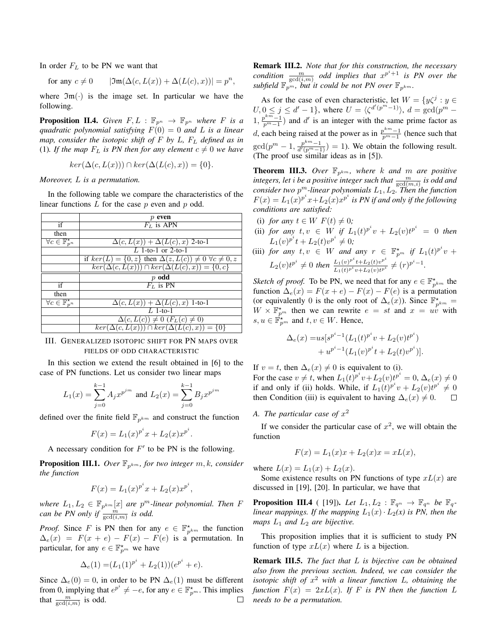In order  $F<sub>L</sub>$  to be PN we want that

for any 
$$
c \neq 0
$$
  $|\mathfrak{Im}(\Delta(c, L(x)) + \Delta(L(c), x))| = p^n$ ,

where  $\mathfrak{Im}(\cdot)$  is the image set. In particular we have the following.

**Proposition II.4.** *Given*  $F, L : \mathbb{F}_{p^n} \to \mathbb{F}_{p^n}$  *where F is a quadratic polynomial satisfying* F(0) = 0 *and* L *is a linear map, consider the isotopic shift of* F *by* L*,* F<sup>L</sup> *defined as in* (1). If the map  $F_L$  is PN then for any element  $c \neq 0$  we have

$$
ker(\Delta(c, L(x))) \cap ker(\Delta(L(c), x)) = \{0\}.
$$

*Moreover,* L *is a permutation.*

In the following table we compare the characteristics of the linear functions  $L$  for the case  $p$  even and  $p$  odd.

|                                          | even                                                                           |
|------------------------------------------|--------------------------------------------------------------------------------|
| if                                       | $F_L$ is APN                                                                   |
| then                                     |                                                                                |
| $\forall c \in \mathbb{F}_{p^n}^{\star}$ | $\Delta(c, L(x)) + \Delta(L(c), x)$ 2-to-1                                     |
|                                          | L 1-to-1 or 2-to-1                                                             |
|                                          | if $ker(L) = \{0, z\}$ then $\Delta(z, L(c)) \neq 0 \ \forall c \neq 0, z$     |
|                                          | $\ker(\Delta(c, L(x))) \cap \ker(\Delta(L(c), x)) = \{0, c\}$                  |
|                                          | $p$ odd                                                                        |
| if                                       | $F_L$ is PN                                                                    |
| then                                     |                                                                                |
| $\forall c \in \mathbb{F}_{p^n}^{\star}$ | $\Delta(c, L(x)) + \Delta(L(c), x)$ 1-to-1                                     |
|                                          | $L$ 1-to-1                                                                     |
|                                          | $\Delta(c, L(c)) \neq 0 \ (F_L(c) \neq 0)$                                     |
|                                          | $\overline{ker(\Delta(c, L(x))) \cap \overline{ker}(\Delta(L(c), x))} = \{0\}$ |

## III. GENERALIZED ISOTOPIC SHIFT FOR PN MAPS OVER FIELDS OF ODD CHARACTERISTIC

In this section we extend the result obtained in [6] to the case of PN functions. Let us consider two linear maps

$$
L_1(x) = \sum_{j=0}^{k-1} A_j x^{p^{jm}} \text{ and } L_2(x) = \sum_{j=0}^{k-1} B_j x^{p^{jm}}
$$

defined over the finite field  $\mathbb{F}_{p^{km}}$  and construct the function

$$
F(x) = L_1(x)^{p^i}x + L_2(x)x^{p^i}.
$$

A necessary condition for  $F'$  to be PN is the following.

**Proposition III.1.** Over  $\mathbb{F}_{p^{km}}$ , for two integer  $m, k$ , consider *the function*

$$
F(x) = L_1(x)^{p^i} x + L_2(x) x^{p^i},
$$

where  $L_1, L_2 \in \mathbb{F}_{p^{km}}[x]$  are  $p^m$ -linear polynomial. Then F *can be PN only if*  $\frac{m}{\gcd(i,m)}$  *is odd.* 

*Proof.* Since F is PN then for any  $e \in \mathbb{F}_{p^{km}}^{\star}$  the function  $\Delta_e(x) = F(x + e) - F(x) - F(e)$  is a permutation. In particular, for any  $e \in \mathbb{F}_{p^m}^{\star}$  we have

$$
\Delta_e(1) = (L_1(1)^{p^i} + L_2(1))(e^{p^i} + e).
$$

Since  $\Delta_e(0) = 0$ , in order to be PN  $\Delta_e(1)$  must be different from 0, implying that  $e^{p^i} \neq -e$ , for any  $e \in \mathbb{F}_{p^m}^{\star}$ . This implies that  $\frac{m}{\gcd(i,m)}$  is odd.  $\Box$  Remark III.2. *Note that for this construction, the necessary condition*  $\frac{m}{\gcd(i,m)}$  *odd implies that*  $x^{p^i+1}$  *is PN over the* subfield  $\mathbb{F}_{p^m}$ , but it could be not PN over  $\mathbb{F}_{p^{km}}$ .

As for the case of even characteristic, let  $W = \{y\zeta^j : y \in \mathbb{R}\}$  $U, 0 \le j \le d'-1$ , where  $U = \langle \zeta^{d'(p^m-1)} \rangle$ ,  $d = \gcd(p^m -1)$  $1, \frac{p^{km}-1}{p^m-1}$  and d' is an integer with the same prime factor as d, each being raised at the power as in  $\frac{p^{km}-1}{p^m-1}$  (hence such that  $gcd(p^m - 1, \frac{p^{km}-1}{d'(p^m-1)}) = 1$ ). We obtain the following result. (The proof use similar ideas as in [5]).

**Theorem III.3.** Over  $\mathbb{F}_{p^{km}}$ , where k and m are positive *integers, let*  $i$  *be a positive integer such that*  $\frac{m}{\gcd(m,i)}$  *is odd and consider two*  $p^m$ -linear polynomials  $L_1, L_2$ . Then the function  $F(x) = L_1(x)^{p^i} x + L_2(x) x^{p^i}$  is *PN* if and only if the following *conditions are satisfied:*

- (i) *for any*  $t \in W$   $F(t) \neq 0$ ;
- (ii) *for any*  $t, v \in W$  *if*  $L_1(t)^{p^i}v + L_2(v)t^{p^i} = 0$  then  $L_1(v)^{p^i}t + L_2(t)v^{p^i} \neq 0;$
- (iii) *for any*  $t, v \in W$  *and any*  $r \in \mathbb{F}_{p^m}^{\star}$  *if*  $L_1(t)^{p^i}v$  +  $L_2(v)t^{p^i} \neq 0$  then  $\frac{L_1(v)^{p^i}t + L_2(t)v^{p^i}}{L_1(t)v^{p^i}t + L_2(v)v^{p^i}}$  $\frac{L_1(v)^{p^i}t+L_2(t)v^{p^i}}{L_1(t)^{p^i}v+L_2(v)t^{p^i}} \neq (r)^{p^i-1}.$

*Sketch of proof.* To be PN, we need that for any  $e \in \mathbb{F}_{p^{km}}^{\star}$  the function  $\Delta_e(x) = F(x + e) - F(x) - F(e)$  is a permutation (or equivalently 0 is the only root of  $\Delta_e(x)$ ). Since  $\mathbb{F}_{p^{km}}^{\star}$  =  $W \times \mathbb{F}_{p^m}^*$  then we can rewrite  $e = st$  and  $x = uv$  with  $s, u \in \mathbb{F}_{p^m}^{\star}$  and  $t, v \in W$ . Hence,

$$
\Delta_e(x) = u s [s^{p^i - 1} (L_1(t)^{p^i} v + L_2(v) t^{p^i}) + u^{p^i - 1} (L_1(v)^{p^i} t + L_2(t) v^{p^i})].
$$

If  $v = t$ , then  $\Delta_e(x) \neq 0$  is equivalent to (i).

For the case  $v \neq t$ , when  $L_1(t)^{p^i}v + L_2(v)t^{p^i} = 0$ ,  $\Delta_e(x) \neq 0$ if and only if (ii) holds. While, if  $L_1(t)^{p^i}v + L_2(v)t^{p^i} \neq 0$ then Condition (iii) is equivalent to having  $\Delta_e(x) \neq 0$ .  $\Box$ 

A. The particular case of  $x^2$ 

If we consider the particular case of  $x^2$ , we will obtain the function

$$
F(x) = L_1(x)x + L_2(x)x = xL(x),
$$

where  $L(x) = L_1(x) + L_2(x)$ .

Some existence results on PN functions of type  $xL(x)$  are discussed in [19], [20]. In particular, we have that

**Proposition III.4** ( [19]). Let  $L_1, L_2 : \mathbb{F}_{q^n} \to \mathbb{F}_{q^n}$  be  $\mathbb{F}_{q^-}$ *linear mappings. If the mapping*  $L_1(x) \cdot L_2(x)$  *is PN, then the maps*  $L_1$  *and*  $L_2$  *are bijective.* 

This proposition implies that it is sufficient to study PN function of type  $xL(x)$  where L is a bijection.

Remark III.5. *The fact that* L *is bijective can be obtained also from the previous section. Indeed, we can consider the isotopic shift of* x <sup>2</sup> *with a linear function* L*, obtaining the function*  $F(x) = 2xL(x)$ *. If* F *is PN* then the function L *needs to be a permutation.*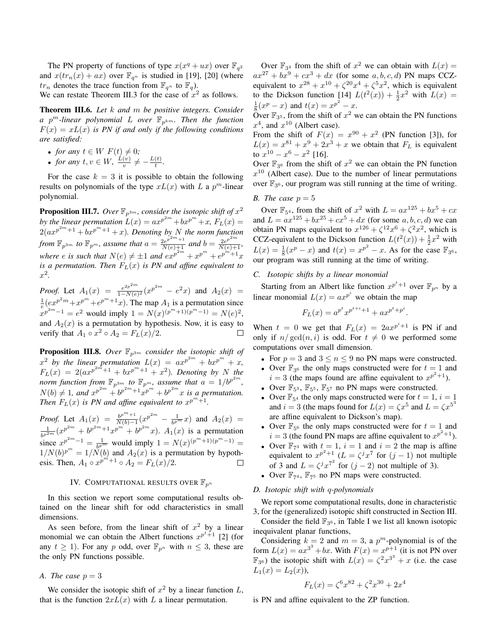The PN property of functions of type  $x(x^q + ux)$  over  $\mathbb{F}_{q^2}$ and  $x(tr_n(x) + ax)$  over  $\mathbb{F}_{q^n}$  is studied in [19], [20] (where  $tr_n$  denotes the trace function from  $\mathbb{F}_{q^n}$  to  $\mathbb{F}_q$ ).

We can restate Theorem III.3 for the case of  $x^2$  as follows.

Theorem III.6. *Let* k *and* m *be positive integers. Consider a*  $p^m$ -linear polynomial L over  $\mathbb{F}_{p^{km}}$ . Then the function  $F(x) = xL(x)$  *is PN if and only if the following conditions are satisfied:*

- *for any*  $t \in W$   $F(t) \neq 0$ ;
- *for any*  $t, v \in W$ ,  $\frac{L(v)}{v}$  $\frac{(v)}{v} \neq -\frac{L(t)}{t}$  $\frac{(t)}{t}$ .

For the case  $k = 3$  it is possible to obtain the following results on polynomials of the type  $xL(x)$  with L a  $p^m$ -linear polynomial.

**Proposition III.7.** Over  $\mathbb{F}_{p^{3m}}$ , consider the isotopic shift of  $x^2$ by the linear permutation  $L(x) = ax^{p^{2m}} + bx^{p^m} + x$ ,  $F_L(x) =$  $2(ax^{p^{2m}+1}+bx^{p^m+1}+x)$ . Denoting by N the norm function *from*  $\mathbb{F}_{p^{3m}}$  *to*  $\mathbb{F}_{p^m}$ *, assume that*  $a = \frac{2e^{p^{2m}+1}}{N(e)+1}$  *and*  $b = \frac{2e^{p^{2m}}}{N(e)+1}$ *,* where *e* is such that  $N(e) \neq \pm 1$  and  $e^{x^{p^{2m}}} + x^{p^m} + e^{p^{m}+1}x$ *is a permutation. Then*  $F_L(x)$  *is PN and affine equivalent to* x 2 *.*

*Proof.* Let  $A_1(x) = \frac{e^{2p^2 m}}{1 - N(e)}$  $\frac{e^{2p^{2m}}}{1-N(e)^2}(x^{p^{2m}}-e^2x)$  and  $A_2(x)$  =  $\frac{1}{e}$  $\left(\frac{e x^{p^2 m} + x^{p^m} + e^{p^m+1} x}{e}\right)$ . The map  $A_1$  is a permutation since  $x^{p^{2m}-1} = e^2$  would imply  $1 = N(x)^{(p^m+1)(p^m-1)} = N(e)^2$ , and  $A_2(x)$  is a permutation by hypothesis. Now, it is easy to verify that  $A_1 \circ x^2 \circ A_2 = F_L(x)/2$ .  $\Box$ 

**Proposition III.8.** Over  $\mathbb{F}_{p^{3m}}$  consider the isotopic shift of  $x^2$  by the linear permutation  $L(x) = ax^{p^{2m}} + bx^{p^m} + x$ ,  $F_L(x) = 2(ax^{p^{2m}+1} + bx^{p^m+1} + x^2)$ . Denoting by N the *norm function from*  $\mathbb{F}_{p^{3m}}$  to  $\mathbb{F}_{p^m}$ , assume that  $a = 1/b^{p^{2m}}$ ,  $N(b) \neq 1$ , and  $x^{p^{2m}} + b^{p^{2m}+1}x^{p^m} + b^{p^{2m}}x$  is a permutation. *Then*  $F_L(x)$  *is PN and affine equivalent to*  $x^{p^m+1}$ *.* 

*Proof.* Let  $A_1(x) = \frac{b^{p^m+1}}{N(b)-1}$  $\frac{b^{p^m+1}}{N(b)-1}(x^{p^{2m}} - \frac{1}{b^{p^m}}x)$  and  $A_2(x)$  = 1  $\frac{1}{b^{p^2m}}(x^{p^{2m}}+b^{p^{2m}+1}x^{p^m}+b^{p^{2m}}x)$ .  $A_1(x)$  is a permutation since  $x^{p^{2m}-1} = \frac{1}{b^{p^m}}$  would imply  $1 = N(x)^{(p^m+1)(p^m-1)} =$  $1/N(b)^{p^m} = 1/N(b)$  and  $A_2(x)$  is a permutation by hypothesis. Then,  $A_1 \circ x^{p^m+1} \circ A_2 = F_L(x)/2$ .

# IV. COMPUTATIONAL RESULTS OVER  $\mathbb{F}_{p^n}$

In this section we report some computational results obtained on the linear shift for odd characteristics in small dimensions.

As seen before, from the linear shift of  $x^2$  by a linear monomial we can obtain the Albert functions  $x^{p^t+1}$  [2] (for any  $t \ge 1$ ). For any p odd, over  $\mathbb{F}_{p^n}$  with  $n \le 3$ , these are the only PN functions possible.

## *A. The case*  $p = 3$

We consider the isotopic shift of  $x^2$  by a linear function  $L$ , that is the function  $2xL(x)$  with L a linear permutation.

Over  $\mathbb{F}_{3^4}$  from the shift of  $x^2$  we can obtain with  $L(x) =$  $ax^{27} + bx^9 + cx^3 + dx$  (for some a, b, c, d) PN maps CCZequivalent to  $x^{28} + x^{10} + \zeta^{20}x^4 + \zeta^{5}x^2$ , which is equivalent to the Dickson function [14]  $L(t^2(x)) + \frac{1}{2}x^2$  with  $L(x) =$  $\frac{1}{8}(x^p - x)$  and  $t(x) = x^{p^2} - x$ .

Over  $\mathbb{F}_{3^5}$ , from the shift of  $x^2$  we can obtain the PN functions  $x^4$ , and  $x^{10}$  (Albert case).

From the shift of  $F(x) = x^{90} + x^2$  (PN function [3]), for  $L(x) = x^{81} + x^9 + 2x^3 + x$  we obtain that  $F_L$  is equivalent to  $x^{10} - x^6 - x^2$  [16].

Over  $\mathbb{F}_{3^6}$  from the shift of  $x^2$  we can obtain the PN function  $x^{10}$  (Albert case). Due to the number of linear permutations over  $\mathbb{F}_{3^6}$ , our program was still running at the time of writing.

## *B.* The case  $p = 5$

Over  $\mathbb{F}_{5^4}$ , from the shift of  $x^2$  with  $L = ax^{125} + bx^5 + cx$ and  $L = ax^{125} + bx^{25} + cx^5 + dx$  (for some a, b, c, d) we can obtain PN maps equivalent to  $x^{126} + \zeta^{12}x^6 + \zeta^{2}x^2$ , which is CCZ-equivalent to the Dickson function  $L(t^2(x)) + \frac{1}{2}x^2$  with  $L(x) = \frac{1}{8}(x^p - x)$  and  $t(x) = x^{p^2} - x$ . As for the case  $\mathbb{F}_{3^6}$ , our program was still running at the time of writing.

## *C. Isotopic shifts by a linear monomial*

Starting from an Albert like function  $x^{p^t+1}$  over  $\mathbb{F}_{p^n}$  by a linear monomial  $L(x) = ax^{p^{i}}$  we obtain the map

$$
F_L(x) = a^{p^t} x^{p^{t+i}+1} + a x^{p^t + p^i}.
$$

When  $t = 0$  we get that  $F_L(x) = 2ax^{p^i+1}$  is PN if and only if  $n/gcd(n, i)$  is odd. For  $t \neq 0$  we performed some computations over small dimension.

- For  $p = 3$  and  $3 \le n \le 9$  no PN maps were constructed.
- Over  $\mathbb{F}_{3^6}$  the only maps constructed were for  $t = 1$  and  $i = 3$  (the maps found are affine equivalent to  $x^{p^2+1}$ ).
- Over  $\mathbb{F}_{5^3}$ ,  $\mathbb{F}_{5^5}$ ,  $\mathbb{F}_{5^7}$  no PN maps were constructed.
- Over  $\mathbb{F}_{5^4}$  the only maps constructed were for  $t = 1$ ,  $i = 1$ and  $i = 3$  (the maps found for  $L(x) = \zeta x^5$  and  $L = \zeta x^5$ are affine equivalent to Dickson's map).
- Over  $\mathbb{F}_{5^6}$  the only maps constructed were for  $t = 1$  and  $i = 3$  (the found PN maps are affine equivalent to  $x^{p^2+1}$ ).
- Over  $\mathbb{F}_{7^3}$  with  $t = 1$ ,  $i = 1$  and  $i = 2$  the map is affine equivalent to  $x^{p^2+1}$  ( $L = \zeta^j x^7$  for  $(j-1)$  not multiple of 3 and  $L = \zeta^{j} x^{7^2}$  for  $(j-2)$  not multiple of 3).
- Over  $\mathbb{F}_{7^4}$ ,  $\mathbb{F}_{7^5}$  no PN maps were constructed.

#### *D. Isotopic shift with* q*-polynomials*

We report some computational results, done in characteristic 3, for the (generalized) isotopic shift constructed in Section III.

Consider the field  $\mathbb{F}_{3^6}$ , in Table I we list all known isotopic inequivalent planar functions,

Considering  $k = 2$  and  $m = 3$ , a  $p<sup>m</sup>$ -polynomial is of the form  $L(x) = ax^{3^3} + bx$ . With  $F(x) = x^{p+1}$  (it is not PN over  $\mathbb{F}_{3^6}$ ) the isotopic shift with  $L(x) = \zeta^2 x^{3^3} + x$  (i.e. the case  $L_1(x) = L_2(x)$ ,

$$
F_L(x) = \zeta^6 x^{82} + \zeta^2 x^{30} + 2x^4
$$

is PN and affine equivalent to the ZP function.